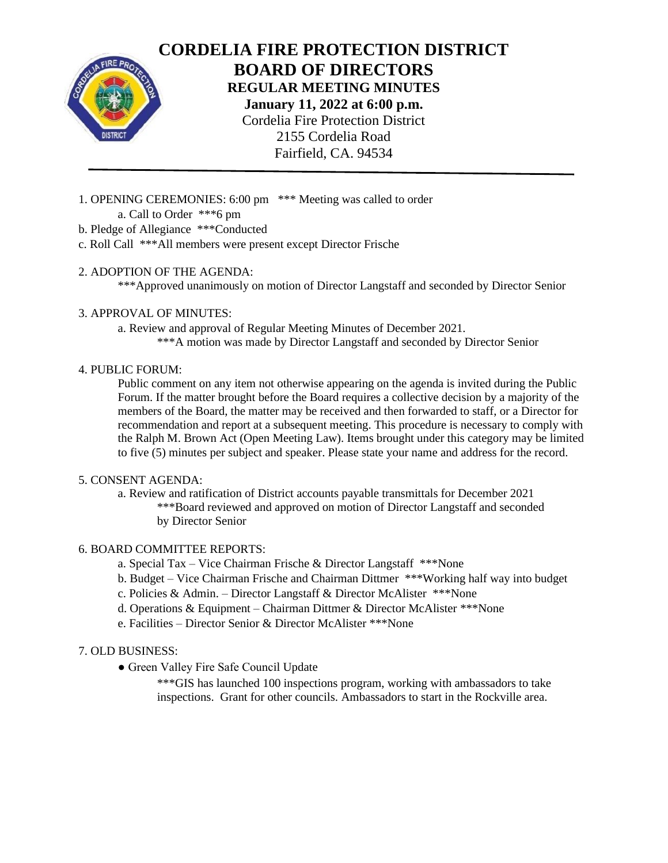

**CORDELIA FIRE PROTECTION DISTRICT BOARD OF DIRECTORS REGULAR MEETING MINUTES January 11, 2022 at 6:00 p.m.** Cordelia Fire Protection District 2155 Cordelia Road Fairfield, CA. 94534

- 1. OPENING CEREMONIES: 6:00 pm \*\*\* Meeting was called to order a. Call to Order \*\*\*6 pm
- b. Pledge of Allegiance \*\*\*Conducted
- c. Roll Call \*\*\*All members were present except Director Frische

# 2. ADOPTION OF THE AGENDA:

\*\*\*Approved unanimously on motion of Director Langstaff and seconded by Director Senior

# 3. APPROVAL OF MINUTES:

a. Review and approval of Regular Meeting Minutes of December 2021.

\*\*\*A motion was made by Director Langstaff and seconded by Director Senior

# 4. PUBLIC FORUM:

Public comment on any item not otherwise appearing on the agenda is invited during the Public Forum. If the matter brought before the Board requires a collective decision by a majority of the members of the Board, the matter may be received and then forwarded to staff, or a Director for recommendation and report at a subsequent meeting. This procedure is necessary to comply with the Ralph M. Brown Act (Open Meeting Law). Items brought under this category may be limited to five (5) minutes per subject and speaker. Please state your name and address for the record.

#### 5. CONSENT AGENDA:

a. Review and ratification of District accounts payable transmittals for December 2021

\*\*\*Board reviewed and approved on motion of Director Langstaff and seconded by Director Senior

#### 6. BOARD COMMITTEE REPORTS:

- a. Special Tax Vice Chairman Frische & Director Langstaff \*\*\*None
- b. Budget Vice Chairman Frische and Chairman Dittmer \*\*\*Working half way into budget
- c. Policies & Admin. Director Langstaff & Director McAlister \*\*\*None
- d. Operations & Equipment Chairman Dittmer & Director McAlister \*\*\*None
- e. Facilities Director Senior & Director McAlister \*\*\*None

# 7. OLD BUSINESS:

- Green Valley Fire Safe Council Update
	- \*\*\*GIS has launched 100 inspections program, working with ambassadors to take inspections. Grant for other councils. Ambassadors to start in the Rockville area.